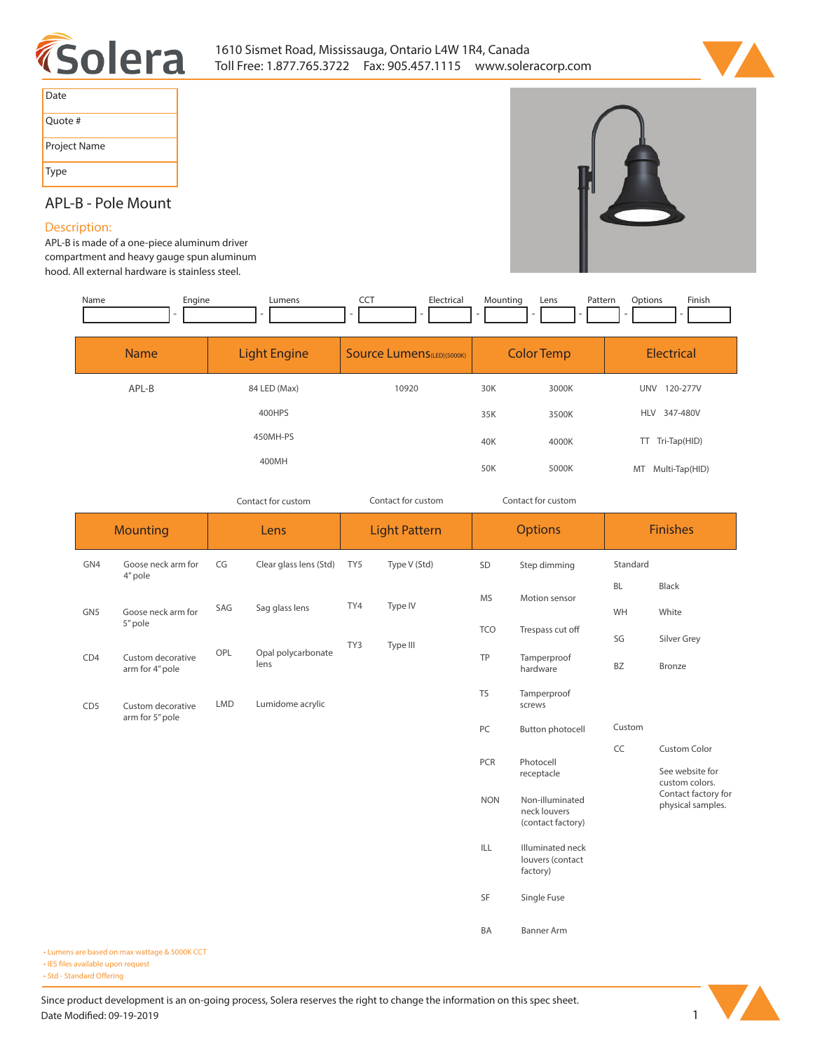



| Date         |
|--------------|
| Quote #      |
| Project Name |
| Type         |

## **APL-B - Pole Mount**

## **Description:**

**APL-B is made of a one-piece aluminum driver**  compartment and heav hood. All external hardy

| ment and heavy gauge spun aluminum<br>l external hardware is stainless steel. |                                    |                                                      |                             |                                               |  |  |  |  |  |
|-------------------------------------------------------------------------------|------------------------------------|------------------------------------------------------|-----------------------------|-----------------------------------------------|--|--|--|--|--|
| Name<br>Engine<br>$\overline{\phantom{0}}$                                    | Lumens<br>$\overline{\phantom{0}}$ | <b>CCT</b><br>Electrical<br>$\overline{\phantom{0}}$ | Mounting<br>Pattern<br>Lens | Finish<br>Options<br>$\overline{\phantom{0}}$ |  |  |  |  |  |
| <b>Name</b>                                                                   | <b>Light Engine</b>                | <b>Source Lumens</b> (LED)(5000K)                    | <b>Color Temp</b>           | Electrical                                    |  |  |  |  |  |

| APL-B | 84 LED (Max) | 10920 | 30K | 3000K | UNV 120-277V        |
|-------|--------------|-------|-----|-------|---------------------|
|       | 400HPS       |       | 35K | 3500K | HLV 347-480V        |
|       | 450MH-PS     |       | 40K | 4000K | Tri-Tap(HID)<br>TT. |
|       | 400MH        |       | 50K | 5000K | MT Multi-Tap(HID)   |

*Contact for custom Contact for custom*

*Contact for custom*

|                        | <b>Mounting</b>                      |                                | Lens                       |                 | <b>Light Pattern</b> | <b>Options</b>          |                                                      | <b>Finishes</b> |                                          |
|------------------------|--------------------------------------|--------------------------------|----------------------------|-----------------|----------------------|-------------------------|------------------------------------------------------|-----------------|------------------------------------------|
| GN4                    | Goose neck arm for<br>4" pole        | CG                             | Clear glass lens (Std)     | TY <sub>5</sub> | Type V (Std)         | SD                      | Step dimming                                         | Standard        |                                          |
| GN <sub>5</sub><br>CD4 | Goose neck arm for<br>5" pole        | SAG<br>OPL                     | Sag glass lens             |                 | Type IV              | <b>MS</b><br><b>TCO</b> | Motion sensor                                        | <b>BL</b>       | Black                                    |
|                        |                                      |                                |                            | TY4             |                      |                         |                                                      | WH              | White                                    |
|                        |                                      |                                | Opal polycarbonate<br>lens | TY3<br>Type III |                      |                         | Trespass cut off                                     | SG              | Silver Grey                              |
|                        | Custom decorative<br>arm for 4" pole |                                |                            |                 |                      | TP                      | Tamperproof<br>hardware                              | BZ              | Bronze                                   |
| CD <sub>5</sub>        | Custom decorative<br>arm for 5" pole | <b>LMD</b><br>Lumidome acrylic |                            |                 |                      | <b>TS</b>               | Tamperproof<br>screws                                |                 |                                          |
|                        |                                      |                                |                            | PC              |                      | <b>Button photocell</b> | Custom                                               |                 |                                          |
|                        |                                      |                                |                            |                 | PCR                  | Photocell               | CC                                                   | Custom Color    |                                          |
|                        |                                      |                                |                            |                 |                      |                         | receptacle                                           |                 | See website for<br>custom colors.        |
|                        |                                      |                                |                            |                 |                      | <b>NON</b>              | Non-illuminated<br>neck louvers<br>(contact factory) |                 | Contact factory for<br>physical samples. |
|                        |                                      |                                |                            |                 |                      | ILL                     | Illuminated neck<br>louvers (contact<br>factory)     |                 |                                          |
|                        |                                      |                                |                            |                 |                      | SF                      | Single Fuse                                          |                 |                                          |
|                        |                                      |                                |                            |                 |                      | BA                      | <b>Banner Arm</b>                                    |                 |                                          |

**• Lumens are based on max wattage & 5000K CCT**

**• IES files available upon request** 

• Std - Standard Offering

Since product development is an on-going process, Solera reserves the right to change the information on this spec sheet. **Date Modified: 09-19-2019** 1